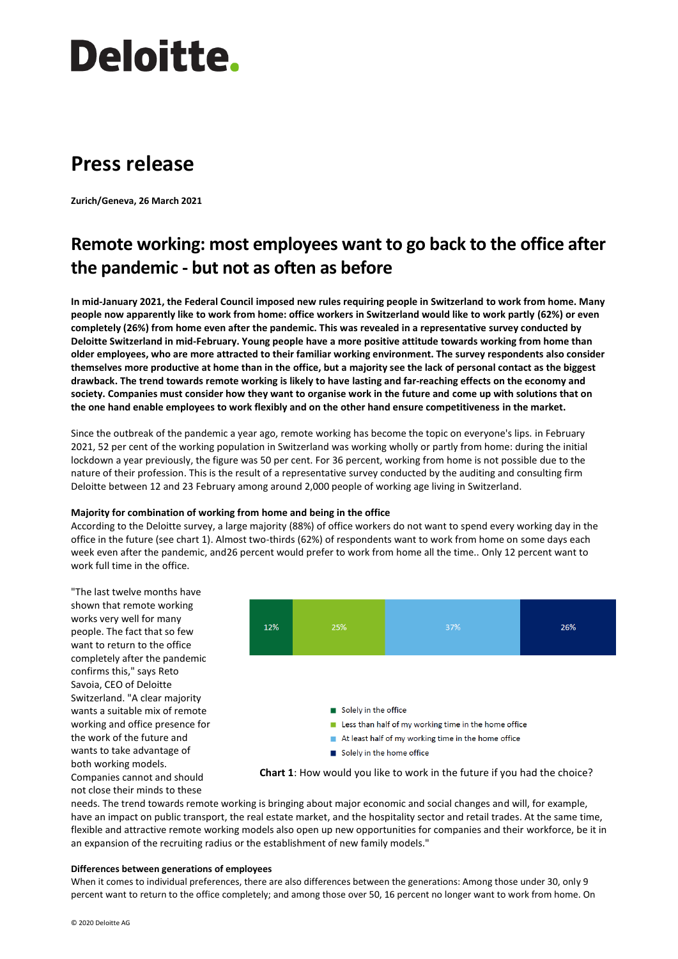# Deloitte.

## **Press release**

**Zurich/Geneva, 26 March 2021**

### **Remote working: most employees want to go back to the office after the pandemic - but not as often as before**

**In mid-January 2021, the Federal Council imposed new rules requiring people in Switzerland to work from home. Many people now apparently like to work from home: office workers in Switzerland would like to work partly (62%) or even completely (26%) from home even after the pandemic. This was revealed in a representative survey conducted by Deloitte Switzerland in mid-February. Young people have a more positive attitude towards working from home than older employees, who are more attracted to their familiar working environment. The survey respondents also consider themselves more productive at home than in the office, but a majority see the lack of personal contact as the biggest drawback. The trend towards remote working is likely to have lasting and far-reaching effects on the economy and society. Companies must consider how they want to organise work in the future and come up with solutions that on the one hand enable employees to work flexibly and on the other hand ensure competitiveness in the market.**

Since the outbreak of the pandemic a year ago, remote working has become the topic on everyone's lips. in February 2021, 52 per cent of the working population in Switzerland was working wholly or partly from home: during the initial lockdown a year previously, the figure was 50 per cent. For 36 percent, working from home is not possible due to the nature of their profession. This is the result of a representative survey conducted by the auditing and consulting firm Deloitte between 12 and 23 February among around 2,000 people of working age living in Switzerland.

#### **Majority for combination of working from home and being in the office**

According to the Deloitte survey, a large majority (88%) of office workers do not want to spend every working day in the office in the future (see chart 1). Almost two-thirds (62%) of respondents want to work from home on some days each week even after the pandemic, and26 percent would prefer to work from home all the time.. Only 12 percent want to work full time in the office.

"The last twelve months have shown that remote working works very well for many people. The fact that so few want to return to the office completely after the pandemic confirms this," says Reto Savoia, CEO of Deloitte Switzerland. "A clear majority wants a suitable mix of remote working and office presence for the work of the future and wants to take advantage of both working models. Companies cannot and should

not close their minds to these

12% 37%  $26%$ Solely in the office Less than half of my working time in the home office At least half of my working time in the home office Solely in the home office

**Chart 1**: How would you like to work in the future if you had the choice?

needs. The trend towards remote working is bringing about major economic and social changes and will, for example, have an impact on public transport, the real estate market, and the hospitality sector and retail trades. At the same time, flexible and attractive remote working models also open up new opportunities for companies and their workforce, be it in an expansion of the recruiting radius or the establishment of new family models."

#### **Differences between generations of employees**

When it comes to individual preferences, there are also differences between the generations: Among those under 30, only 9 percent want to return to the office completely; and among those over 50, 16 percent no longer want to work from home. On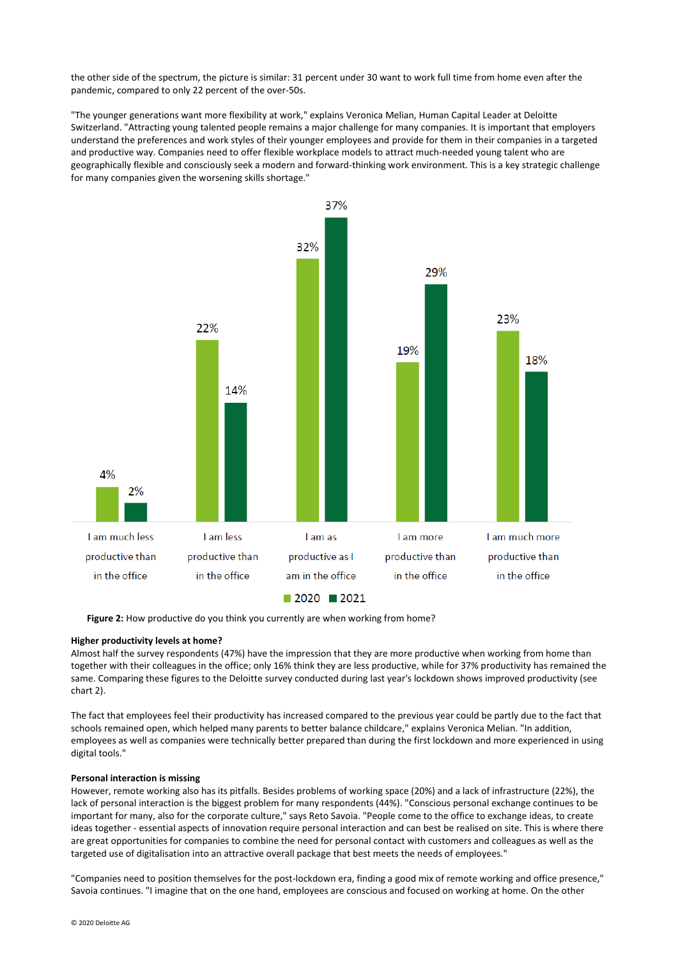the other side of the spectrum, the picture is similar: 31 percent under 30 want to work full time from home even after the pandemic, compared to only 22 percent of the over-50s.

"The younger generations want more flexibility at work," explains Veronica Melian, Human Capital Leader at Deloitte Switzerland. "Attracting young talented people remains a major challenge for many companies. It is important that employers understand the preferences and work styles of their younger employees and provide for them in their companies in a targeted and productive way. Companies need to offer flexible workplace models to attract much-needed young talent who are geographically flexible and consciously seek a modern and forward-thinking work environment. This is a key strategic challenge for many companies given the worsening skills shortage."



**Figure 2:** How productive do you think you currently are when working from home?

#### **Higher productivity levels at home?**

Almost half the survey respondents (47%) have the impression that they are more productive when working from home than together with their colleagues in the office; only 16% think they are less productive, while for 37% productivity has remained the same. Comparing these figures to the Deloitte survey conducted during last year's lockdown shows improved productivity (see chart 2).

The fact that employees feel their productivity has increased compared to the previous year could be partly due to the fact that schools remained open, which helped many parents to better balance childcare," explains Veronica Melian. "In addition, employees as well as companies were technically better prepared than during the first lockdown and more experienced in using digital tools."

#### **Personal interaction is missing**

However, remote working also has its pitfalls. Besides problems of working space (20%) and a lack of infrastructure (22%), the lack of personal interaction is the biggest problem for many respondents (44%). "Conscious personal exchange continues to be important for many, also for the corporate culture," says Reto Savoia. "People come to the office to exchange ideas, to create ideas together - essential aspects of innovation require personal interaction and can best be realised on site. This is where there are great opportunities for companies to combine the need for personal contact with customers and colleagues as well as the targeted use of digitalisation into an attractive overall package that best meets the needs of employees."

"Companies need to position themselves for the post-lockdown era, finding a good mix of remote working and office presence," Savoia continues. "I imagine that on the one hand, employees are conscious and focused on working at home. On the other